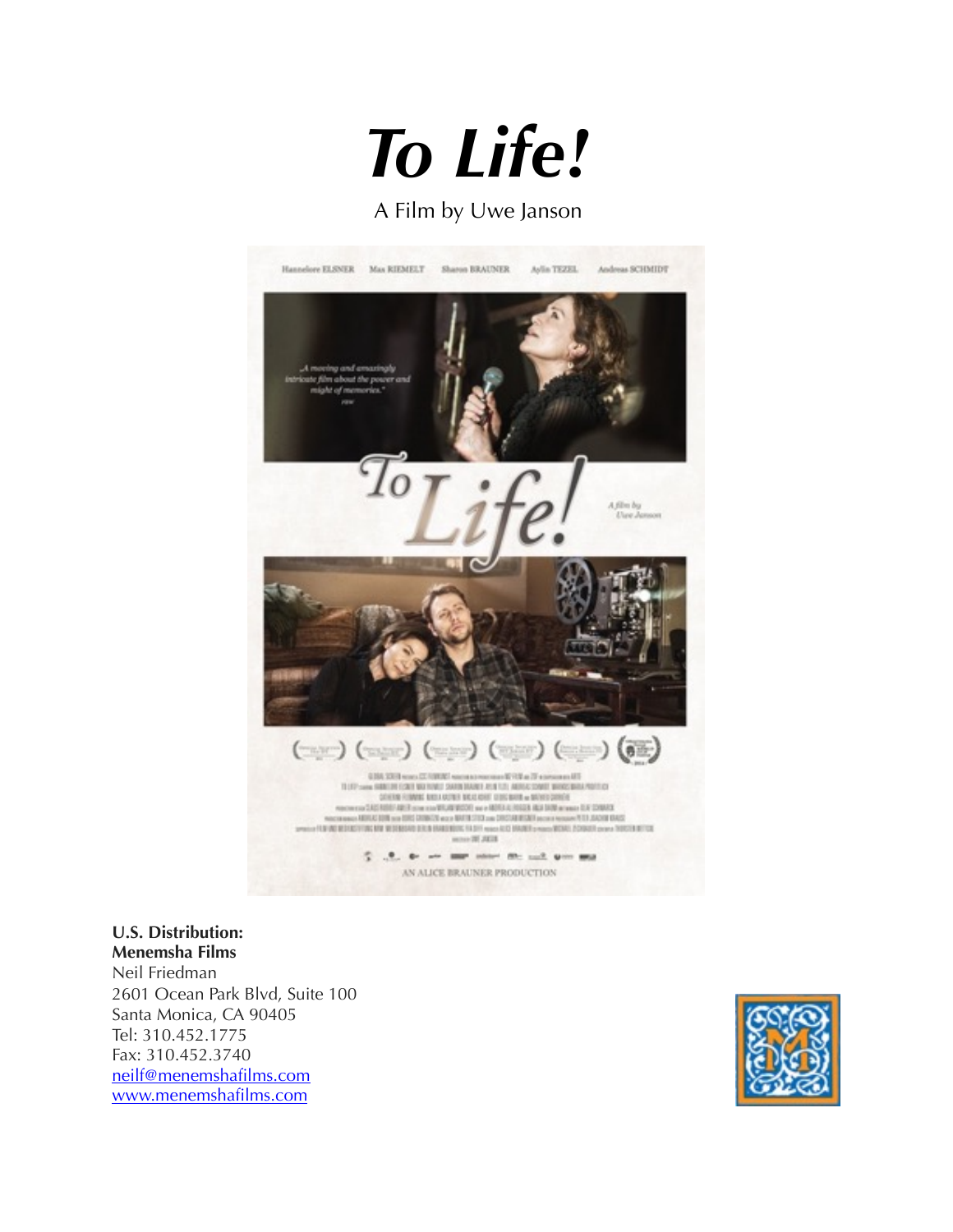

### A Film by Uwe Janson



#### **U.S. Distribution: Menemsha Films**

Neil Friedman 2601 Ocean Park Blvd, Suite 100 Santa Monica, CA 90405 Tel: 310.452.1775 Fax: 310.452.3740 [neilf@menemshafilms.com](mailto:neilf@menemshafilms.com) [www.menemshafilms.com](http://www.menemshafilms.com)

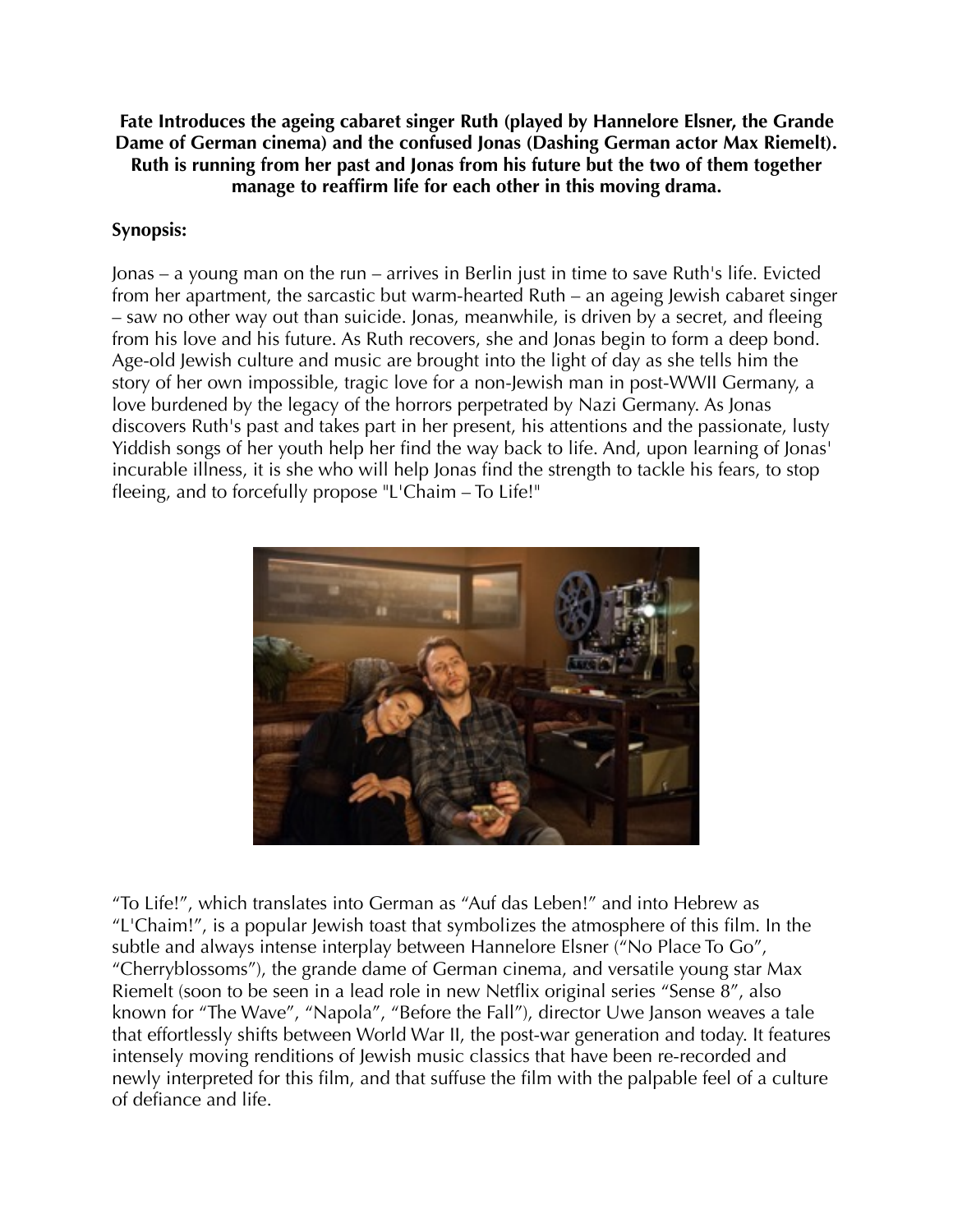**Fate Introduces the ageing cabaret singer Ruth (played by Hannelore Elsner, the Grande Dame of German cinema) and the confused Jonas (Dashing German actor Max Riemelt). Ruth is running from her past and Jonas from his future but the two of them together manage to reaffirm life for each other in this moving drama.**

### **Synopsis:**

Jonas – a young man on the run – arrives in Berlin just in time to save Ruth's life. Evicted from her apartment, the sarcastic but warm-hearted Ruth – an ageing Jewish cabaret singer – saw no other way out than suicide. Jonas, meanwhile, is driven by a secret, and fleeing from his love and his future. As Ruth recovers, she and Jonas begin to form a deep bond. Age-old Jewish culture and music are brought into the light of day as she tells him the story of her own impossible, tragic love for a non-Jewish man in post-WWII Germany, a love burdened by the legacy of the horrors perpetrated by Nazi Germany. As Jonas discovers Ruth's past and takes part in her present, his attentions and the passionate, lusty Yiddish songs of her youth help her find the way back to life. And, upon learning of Jonas' incurable illness, it is she who will help Jonas find the strength to tackle his fears, to stop fleeing, and to forcefully propose "L'Chaim – To Life!"



"To Life!", which translates into German as "Auf das Leben!" and into Hebrew as "L'Chaim!", is a popular Jewish toast that symbolizes the atmosphere of this film. In the subtle and always intense interplay between Hannelore Elsner ("No Place To Go", "Cherryblossoms"), the grande dame of German cinema, and versatile young star Max Riemelt (soon to be seen in a lead role in new Netflix original series "Sense 8", also known for "The Wave", "Napola", "Before the Fall"), director Uwe Janson weaves a tale that effortlessly shifts between World War II, the post-war generation and today. It features intensely moving renditions of Jewish music classics that have been re-recorded and newly interpreted for this film, and that suffuse the film with the palpable feel of a culture of defiance and life.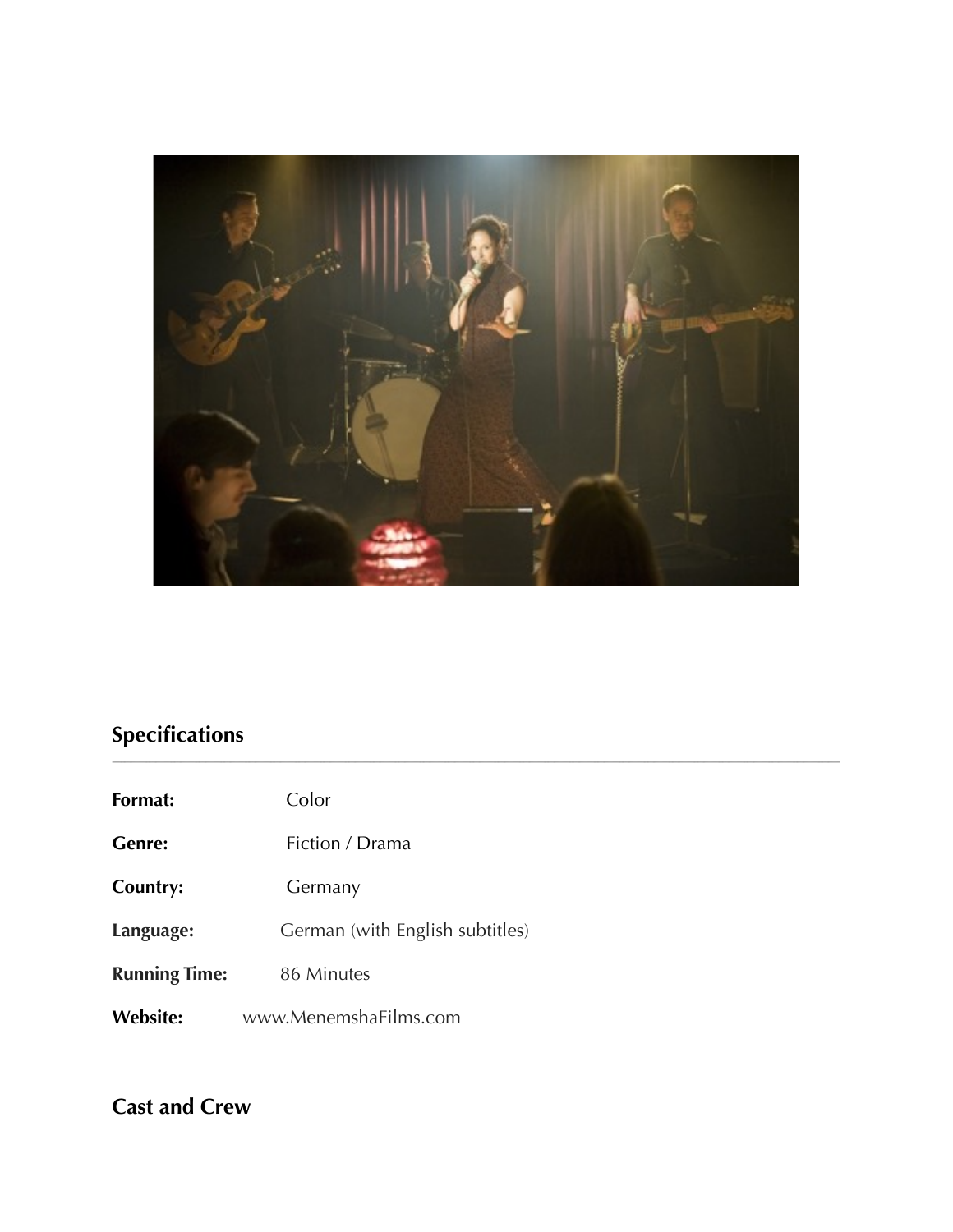

# **Specifications**

| Format:              | Color                           |
|----------------------|---------------------------------|
| <b>Genre:</b>        | Fiction / Drama                 |
| Country:             | Germany                         |
| Language:            | German (with English subtitles) |
| <b>Running Time:</b> | 86 Minutes                      |
| <b>Website:</b>      | www.MenemshaFilms.com           |

# **Cast and Crew**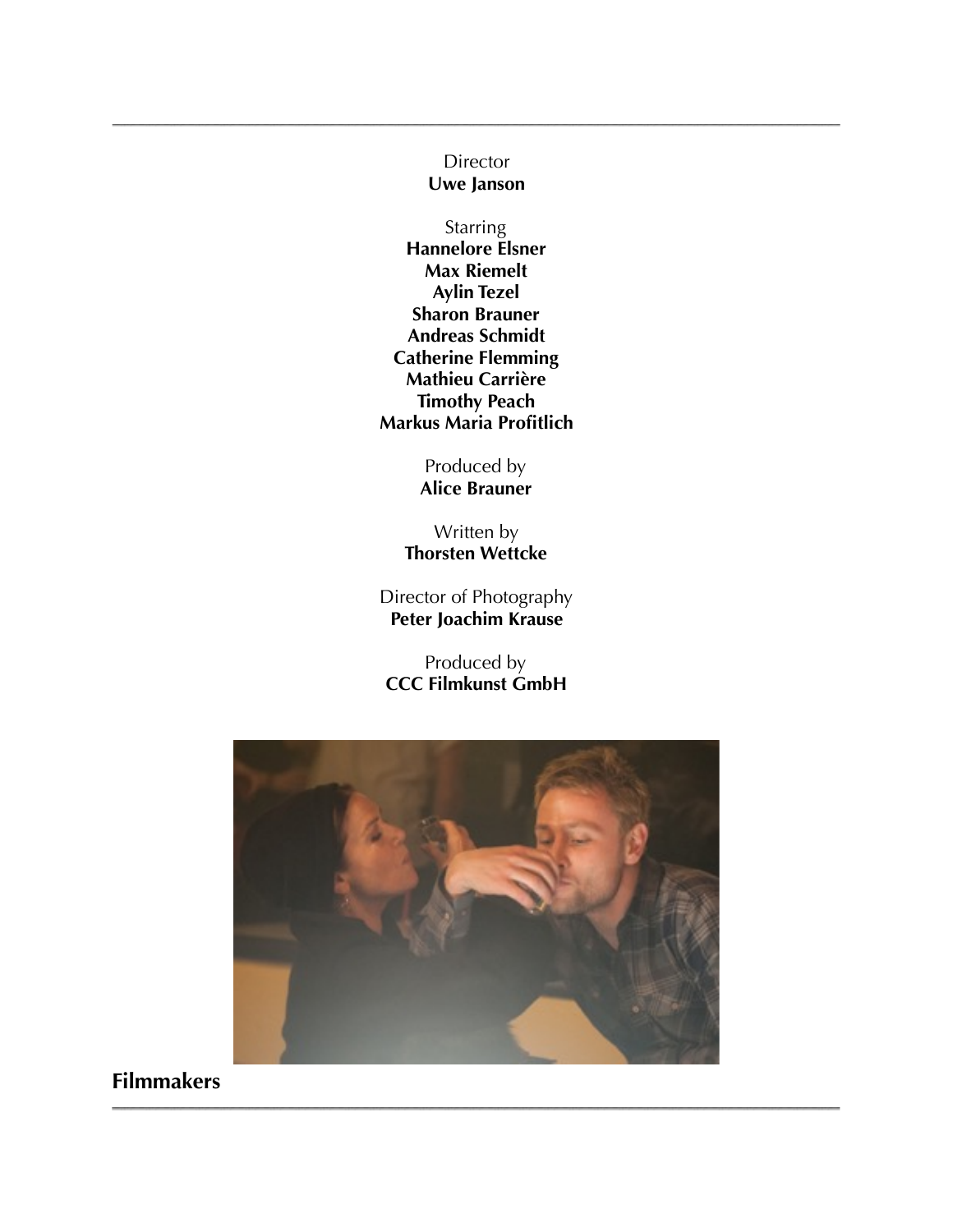## **Director**

**Uwe Janson** 

### **Starring**

**Hannelore Elsner Max Riemelt Aylin Tezel Sharon Brauner Andreas Schmidt Catherine Flemming Mathieu Carrière Timothy Peach Markus Maria Profitlich** 

> Produced by **Alice Brauner**

Written by **Thorsten Wettcke** 

Director of Photography **Peter Joachim Krause** 

Produced by **CCC Filmkunst GmbH** 



**Filmmakers**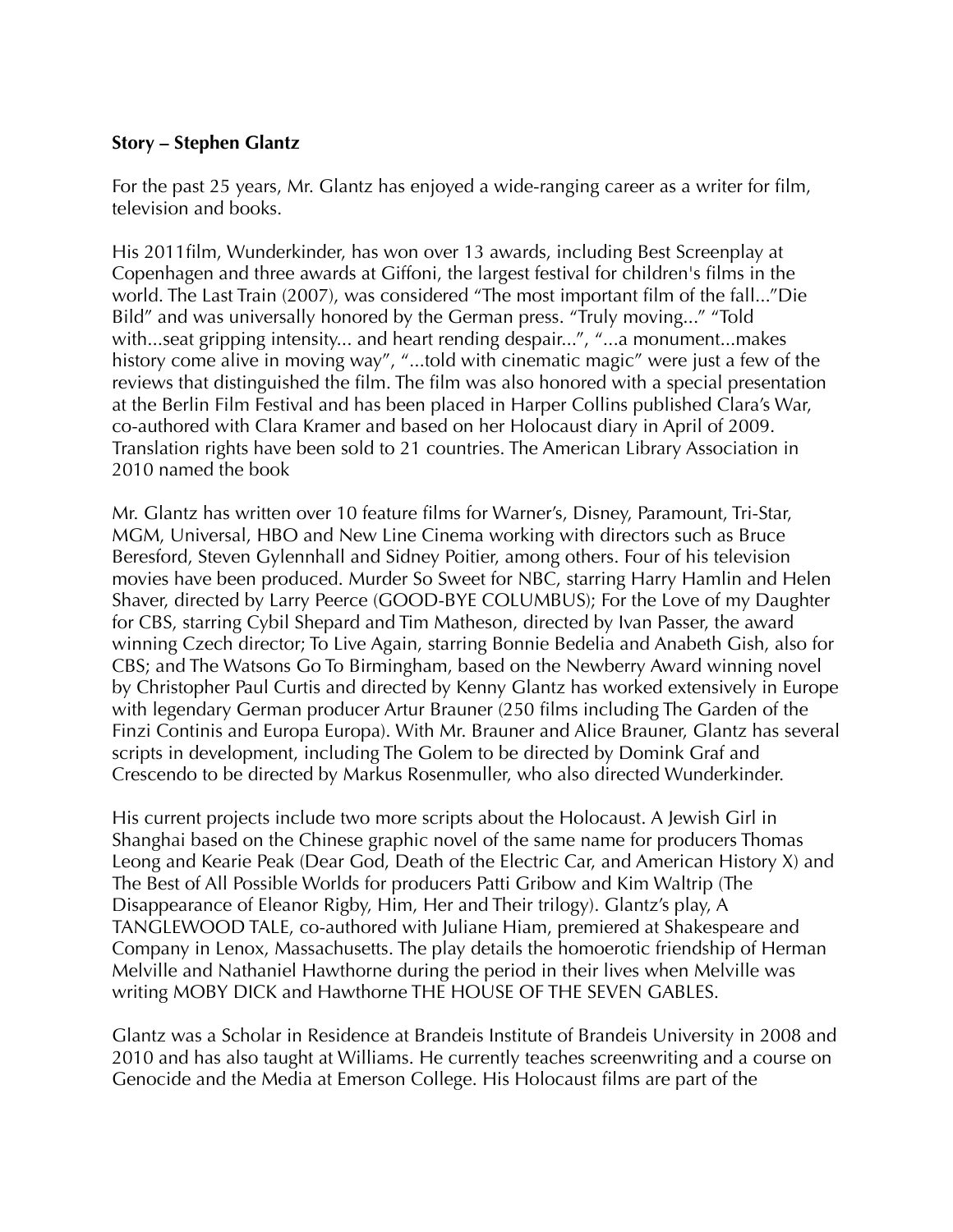### **Story – Stephen Glantz**

For the past 25 years, Mr. Glantz has enjoyed a wide-ranging career as a writer for film, television and books.

His 2011film, Wunderkinder, has won over 13 awards, including Best Screenplay at Copenhagen and three awards at Giffoni, the largest festival for children's films in the world. The Last Train (2007), was considered "The most important film of the fall..."Die Bild" and was universally honored by the German press. "Truly moving..." "Told with...seat gripping intensity... and heart rending despair...", "...a monument...makes history come alive in moving way", "...told with cinematic magic" were just a few of the reviews that distinguished the film. The film was also honored with a special presentation at the Berlin Film Festival and has been placed in Harper Collins published Clara's War, co-authored with Clara Kramer and based on her Holocaust diary in April of 2009. Translation rights have been sold to 21 countries. The American Library Association in 2010 named the book

Mr. Glantz has written over 10 feature films for Warner's, Disney, Paramount, Tri-Star, MGM, Universal, HBO and New Line Cinema working with directors such as Bruce Beresford, Steven Gylennhall and Sidney Poitier, among others. Four of his television movies have been produced. Murder So Sweet for NBC, starring Harry Hamlin and Helen Shaver, directed by Larry Peerce (GOOD-BYE COLUMBUS); For the Love of my Daughter for CBS, starring Cybil Shepard and Tim Matheson, directed by Ivan Passer, the award winning Czech director; To Live Again, starring Bonnie Bedelia and Anabeth Gish, also for CBS; and The Watsons Go To Birmingham, based on the Newberry Award winning novel by Christopher Paul Curtis and directed by Kenny Glantz has worked extensively in Europe with legendary German producer Artur Brauner (250 films including The Garden of the Finzi Continis and Europa Europa). With Mr. Brauner and Alice Brauner, Glantz has several scripts in development, including The Golem to be directed by Domink Graf and Crescendo to be directed by Markus Rosenmuller, who also directed Wunderkinder.

His current projects include two more scripts about the Holocaust. A Jewish Girl in Shanghai based on the Chinese graphic novel of the same name for producers Thomas Leong and Kearie Peak (Dear God, Death of the Electric Car, and American History X) and The Best of All Possible Worlds for producers Patti Gribow and Kim Waltrip (The Disappearance of Eleanor Rigby, Him, Her and Their trilogy). Glantz's play, A TANGLEWOOD TALE, co-authored with Juliane Hiam, premiered at Shakespeare and Company in Lenox, Massachusetts. The play details the homoerotic friendship of Herman Melville and Nathaniel Hawthorne during the period in their lives when Melville was writing MOBY DICK and Hawthorne THE HOUSE OF THE SEVEN GABLES.

Glantz was a Scholar in Residence at Brandeis Institute of Brandeis University in 2008 and 2010 and has also taught at Williams. He currently teaches screenwriting and a course on Genocide and the Media at Emerson College. His Holocaust films are part of the